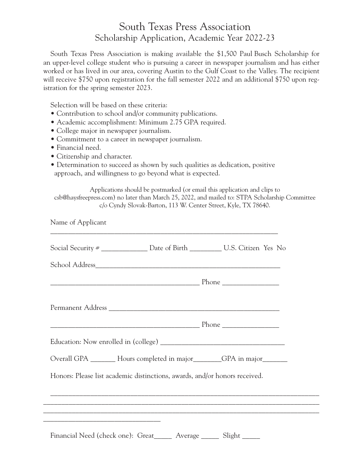## South Texas Press Association Scholarship Application, Academic Year 2022-23

South Texas Press Association is making available the \$1,500 Paul Busch Scholarship for an upper-level college student who is pursuing a career in newspaper journalism and has either worked or has lived in our area, covering Austin to the Gulf Coast to the Valley. The recipient will receive \$750 upon registration for the fall semester 2022 and an additional \$750 upon registration for the spring semester 2023.

Selection will be based on these criteria:

- Contribution to school and/or community publications.
- Academic accomplishment: Minimum 2.75 GPA required.
- College major in newspaper journalism.
- Commitment to a career in newspaper journalism.
- Financial need.
- Citizenship and character.
- Determination to succeed as shown by such qualities as dedication, positive approach, and willingness to go beyond what is expected.

\_\_\_\_\_\_\_\_\_\_\_\_\_\_\_\_\_\_\_\_\_\_\_\_\_\_\_\_\_\_\_\_\_\_\_\_\_\_\_\_\_\_\_\_\_\_\_\_\_\_\_\_\_\_\_\_\_\_\_\_\_\_\_\_

Applications should be postmarked (or email this application and clips to csb@haysfreepress.com) no later than March 25, 2022, and mailed to: STPA Scholarship Committee c/o Cyndy Slovak-Barton, 113 W. Center Street, Kyle, TX 78640.

Name of Applicant

|                                                                                                                                                                                                                               |                                                                            | Social Security # ______________________ Date of Birth ________________ U.S. Citizen Yes No                                                         |
|-------------------------------------------------------------------------------------------------------------------------------------------------------------------------------------------------------------------------------|----------------------------------------------------------------------------|-----------------------------------------------------------------------------------------------------------------------------------------------------|
|                                                                                                                                                                                                                               |                                                                            |                                                                                                                                                     |
|                                                                                                                                                                                                                               |                                                                            |                                                                                                                                                     |
|                                                                                                                                                                                                                               |                                                                            |                                                                                                                                                     |
|                                                                                                                                                                                                                               |                                                                            |                                                                                                                                                     |
|                                                                                                                                                                                                                               |                                                                            |                                                                                                                                                     |
|                                                                                                                                                                                                                               |                                                                            | Overall GPA _________ Hours completed in major_________GPA in major________                                                                         |
|                                                                                                                                                                                                                               | Honors: Please list academic distinctions, awards, and/or honors received. |                                                                                                                                                     |
|                                                                                                                                                                                                                               |                                                                            |                                                                                                                                                     |
|                                                                                                                                                                                                                               |                                                                            | ,我们也不能在这里的,我们也不能在这里的时候,我们也不能在这里的时候,我们也不能会不能会不能会不能会不能会不能会不能会不能会。<br>第2012章 我们的时候,我们的时候,我们的时候,我们的时候,我们的时候,我们的时候,我们的时候,我们的时候,我们的时候,我们的时候,我们的时候,我们的时候,我 |
| the control of the control of the control of the control of the control of the control of the control of the control of the control of the control of the control of the control of the control of the control of the control | Financial Need (check one): Great______ Average ______ Slight _____        |                                                                                                                                                     |